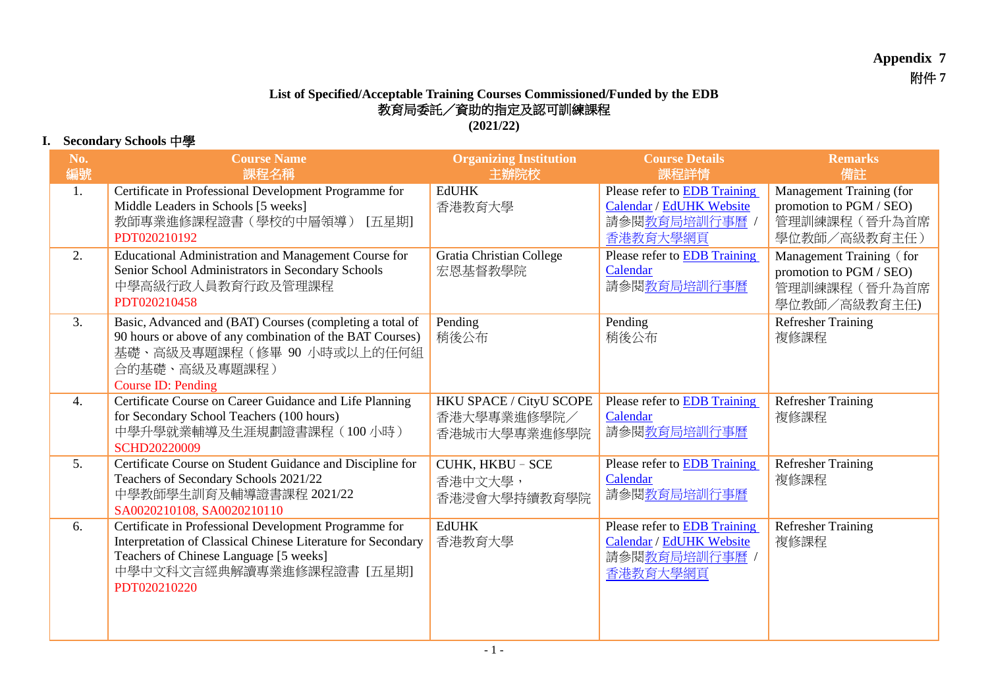## **Appendix 7** 附件 **7**

## **List of Specified/Acceptable Training Courses Commissioned/Funded by the EDB** 教育局委託/資助的指定及認可訓練課程

**(2021/22)**

## **I. Secondary Schools** 中學

| No.              | <b>Course Name</b>                                                                                                                                                                                           | <b>Organizing Institution</b>                          | <b>Course Details</b>                                                                 | <b>Remarks</b>                                                                      |
|------------------|--------------------------------------------------------------------------------------------------------------------------------------------------------------------------------------------------------------|--------------------------------------------------------|---------------------------------------------------------------------------------------|-------------------------------------------------------------------------------------|
| 編號               | 課程名稱                                                                                                                                                                                                         | 主辦院校                                                   | 課程詳情                                                                                  | 備註                                                                                  |
| 1.               | Certificate in Professional Development Programme for<br>Middle Leaders in Schools [5 weeks]<br>教師專業進修課程證書(學校的中層領導) [五星期]<br>PDT020210192                                                                    | <b>EdUHK</b><br>香港教育大學                                 | Please refer to EDB Training<br>Calendar / EdUHK Website<br>請參閱教育局培訓行事曆 /<br>香港教育大學網頁 | Management Training (for<br>promotion to PGM / SEO)<br>管理訓練課程(晉升為首席<br>學位教師/高級教育主任) |
| 2.               | Educational Administration and Management Course for<br>Senior School Administrators in Secondary Schools<br>中學高級行政人員教育行政及管理課程<br>PDT020210458                                                               | <b>Gratia Christian College</b><br>宏恩基督教學院             | Please refer to EDB Training<br>Calendar<br>請參閱教育局培訓行事曆                               | Management Training (for<br>promotion to PGM / SEO)<br>管理訓練課程(晉升為首席<br>學位教師/高級教育主任) |
| 3.               | Basic, Advanced and (BAT) Courses (completing a total of<br>90 hours or above of any combination of the BAT Courses)<br>基礎、高級及專題課程(修畢 90 小時或以上的任何組<br>合的基礎、高級及專題課程)<br>Course ID: Pending                    | Pending<br>稍後公布                                        | Pending<br>稍後公布                                                                       | <b>Refresher Training</b><br>複修課程                                                   |
| $\overline{4}$ . | Certificate Course on Career Guidance and Life Planning<br>for Secondary School Teachers (100 hours)<br>中學升學就業輔導及生涯規劃證書課程 (100 小時)<br>SCHD20220009                                                           | HKU SPACE / CityU SCOPE<br>香港大學專業進修學院/<br>香港城市大學專業進修學院 | Please refer to <b>EDB</b> Training<br>Calendar<br>請參閱教育局培訓行事曆                        | <b>Refresher Training</b><br>複修課程                                                   |
| 5.               | Certificate Course on Student Guidance and Discipline for<br>Teachers of Secondary Schools 2021/22<br>中學教師學生訓育及輔導證書課程 2021/22<br>SA0020210108, SA0020210110                                                  | CUHK, HKBU - SCE<br>香港中文大學,<br>香港浸會大學持續教育學院            | Please refer to <b>EDB</b> Training<br>Calendar<br>請參閱教育局培訓行事曆                        | <b>Refresher Training</b><br>複修課程                                                   |
| 6.               | Certificate in Professional Development Programme for<br>Interpretation of Classical Chinese Literature for Secondary<br>Teachers of Chinese Language [5 weeks]<br>中學中文科文言經典解讀專業進修課程證書 [五星期]<br>PDT020210220 | <b>EdUHK</b><br>香港教育大學                                 | Please refer to EDB Training<br>Calendar / EdUHK Website<br>請參閱教育局培訓行事曆 /<br>香港教育大學網頁 | <b>Refresher Training</b><br>複修課程                                                   |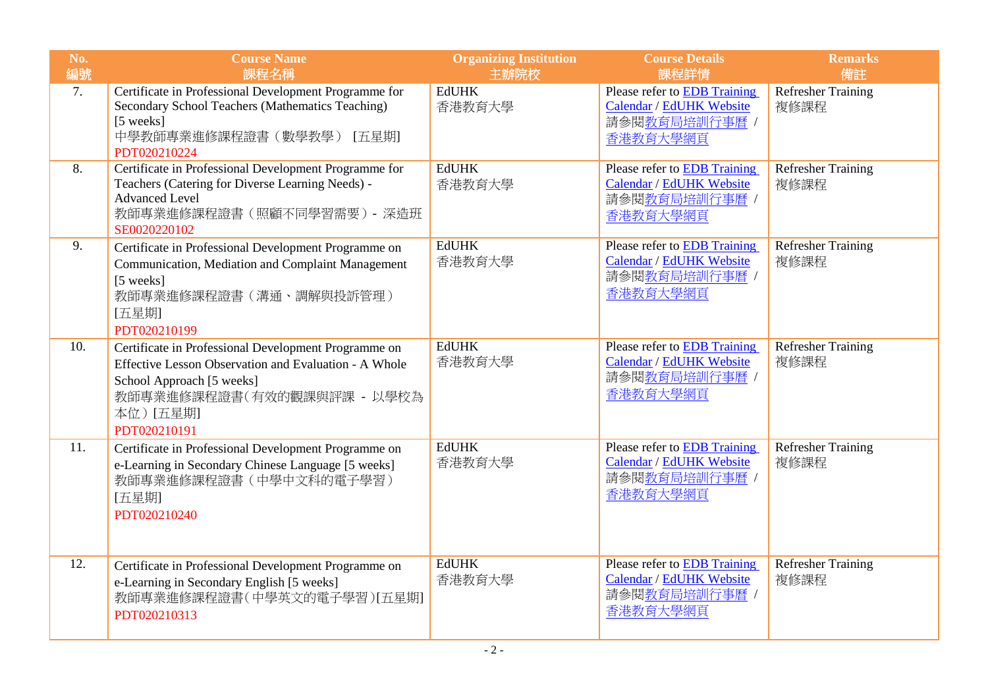| No.<br>編號 | <b>Course Name</b><br>課程名稱                                                                                                                                                                           | <b>Organizing Institution</b><br>主辦院校 | <b>Course Details</b><br>課程詳情                                                                | <b>Remarks</b><br>備註              |
|-----------|------------------------------------------------------------------------------------------------------------------------------------------------------------------------------------------------------|---------------------------------------|----------------------------------------------------------------------------------------------|-----------------------------------|
| 7.        | Certificate in Professional Development Programme for<br>Secondary School Teachers (Mathematics Teaching)<br>[5 weeks]<br>中學教師專業進修課程證書(數學教學) [五星期]<br>PDT020210224                                   | <b>EdUHK</b><br>香港教育大學                | Please refer to <b>EDB</b> Training<br>Calendar / EdUHK Website<br>請參閱教育局培訓行事曆 /<br>香港教育大學網頁 | <b>Refresher Training</b><br>複修課程 |
| 8.        | Certificate in Professional Development Programme for<br>Teachers (Catering for Diverse Learning Needs) -<br><b>Advanced Level</b><br>教師專業進修課程證書(照顧不同學習需要) - 深造班<br>SE0020220102                     | <b>EdUHK</b><br>香港教育大學                | Please refer to EDB Training<br>Calendar / EdUHK Website<br>請參閱教育局培訓行事曆 /<br>香港教育大學網頁        | <b>Refresher Training</b><br>複修課程 |
| 9.        | Certificate in Professional Development Programme on<br>Communication, Mediation and Complaint Management<br>[5 weeks]<br>教師專業進修課程證書 (溝通、調解與投訴管理)<br>[五星期]<br>PDT020210199                           | <b>EdUHK</b><br>香港教育大學                | Please refer to <b>EDB</b> Training<br>Calendar / EdUHK Website<br>請參閱教育局培訓行事曆 /<br>香港教育大學網頁 | <b>Refresher Training</b><br>複修課程 |
| 10.       | Certificate in Professional Development Programme on<br>Effective Lesson Observation and Evaluation - A Whole<br>School Approach [5 weeks]<br>教師專業進修課程證書(有效的觀課與評課 - 以學校為<br>本位)[五星期]<br>PDT020210191 | <b>EdUHK</b><br>香港教育大學                | Please refer to <b>EDB</b> Training<br>Calendar / EdUHK Website<br>請參閱教育局培訓行事曆 /<br>香港教育大學網頁 | <b>Refresher Training</b><br>複修課程 |
| 11.       | Certificate in Professional Development Programme on<br>e-Learning in Secondary Chinese Language [5 weeks]<br>教師專業進修課程證書 (中學中文科的電子學習)<br>[五星期]<br>PDT020210240                                       | <b>EdUHK</b><br>香港教育大學                | Please refer to <b>EDB</b> Training<br>Calendar / EdUHK Website<br>請參閱教育局培訓行事曆 /<br>香港教育大學網頁 | <b>Refresher Training</b><br>複修課程 |
| 12.       | Certificate in Professional Development Programme on<br>e-Learning in Secondary English [5 weeks]<br>教師專業進修課程證書(中學英文的電子學習)[五星期]<br>PDT020210313                                                      | <b>EdUHK</b><br>香港教育大學                | Please refer to <b>EDB</b> Training<br>Calendar / EdUHK Website<br>請參閱教育局培訓行事曆 /<br>香港教育大學網頁 | <b>Refresher Training</b><br>複修課程 |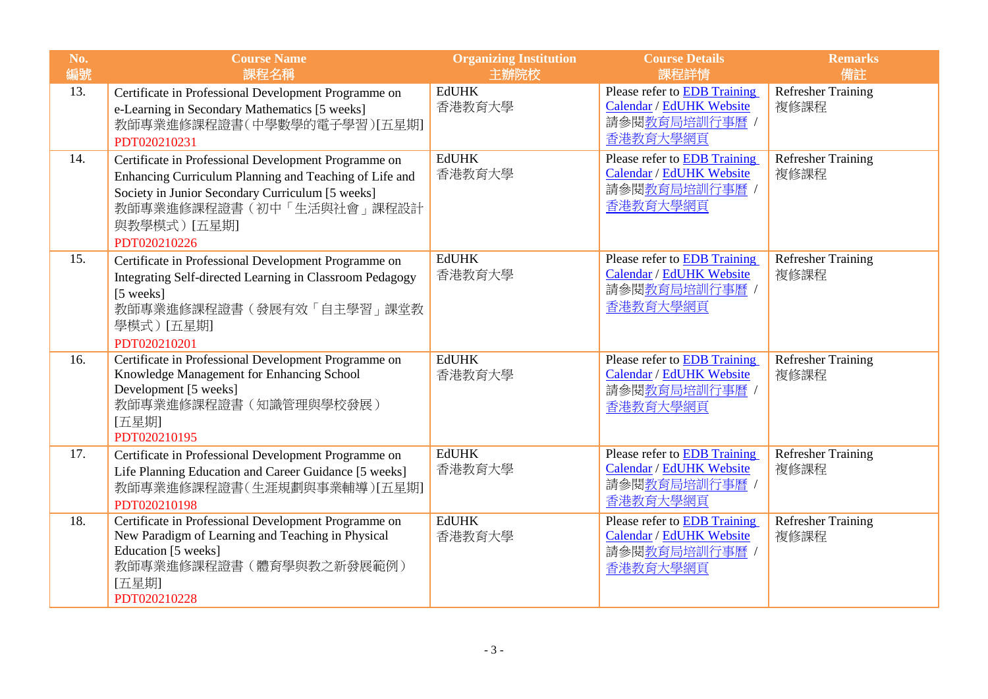| No.<br>編號 | <b>Course Name</b><br>課程名稱                                                                                                                                                                                                     | <b>Organizing Institution</b><br>主辦院校 | <b>Course Details</b><br>課程詳情                                                                | <b>Remarks</b><br>備註              |
|-----------|--------------------------------------------------------------------------------------------------------------------------------------------------------------------------------------------------------------------------------|---------------------------------------|----------------------------------------------------------------------------------------------|-----------------------------------|
| 13.       | Certificate in Professional Development Programme on<br>e-Learning in Secondary Mathematics [5 weeks]<br>教師專業進修課程證書(中學數學的電子學習)[五星期]<br>PDT020210231                                                                            | <b>EdUHK</b><br>香港教育大學                | Please refer to <b>EDB</b> Training<br>Calendar / EdUHK Website<br>請參閱教育局培訓行事曆 /<br>香港教育大學網頁 | <b>Refresher Training</b><br>複修課程 |
| 14.       | Certificate in Professional Development Programme on<br>Enhancing Curriculum Planning and Teaching of Life and<br>Society in Junior Secondary Curriculum [5 weeks]<br>教師專業進修課程證書(初中「生活與社會」課程設計<br>與教學模式) [五星期]<br>PDT020210226 | <b>EdUHK</b><br>香港教育大學                | Please refer to EDB Training<br>Calendar / EdUHK Website<br>請參閱教育局培訓行事曆 /<br>香港教育大學網頁        | <b>Refresher Training</b><br>複修課程 |
| 15.       | Certificate in Professional Development Programme on<br>Integrating Self-directed Learning in Classroom Pedagogy<br>[5 weeks]<br>教師專業進修課程證書(發展有效「自主學習」課堂教<br>學模式)[五星期]<br>PDT020210201                                         | <b>EdUHK</b><br>香港教育大學                | Please refer to EDB Training<br>Calendar / EdUHK Website<br>請參閱教育局培訓行事曆 /<br>香港教育大學網頁        | <b>Refresher Training</b><br>複修課程 |
| 16.       | Certificate in Professional Development Programme on<br>Knowledge Management for Enhancing School<br>Development [5 weeks]<br>教師專業進修課程證書 (知識管理與學校發展)<br>[五星期]<br>PDT020210195                                                  | <b>EdUHK</b><br>香港教育大學                | <b>Please refer to EDB Training</b><br>Calendar / EdUHK Website<br>請參閱教育局培訓行事曆 /<br>香港教育大學網頁 | <b>Refresher Training</b><br>複修課程 |
| 17.       | Certificate in Professional Development Programme on<br>Life Planning Education and Career Guidance [5 weeks]<br>教師專業進修課程證書(生涯規劃與事業輔導) [五星期]<br>PDT020210198                                                                   | <b>EdUHK</b><br>香港教育大學                | Please refer to EDB Training<br>Calendar / EdUHK Website<br>請參閱教育局培訓行事曆 /<br>香港教育大學網頁        | <b>Refresher Training</b><br>複修課程 |
| 18.       | Certificate in Professional Development Programme on<br>New Paradigm of Learning and Teaching in Physical<br>Education [5 weeks]<br>教師專業進修課程證書(體育學與教之新發展範例)<br>[五星期]<br>PDT020210228                                           | <b>EdUHK</b><br>香港教育大學                | Please refer to EDB Training<br>Calendar / EdUHK Website<br>請參閱教育局培訓行事曆 /<br>香港教育大學網頁        | <b>Refresher Training</b><br>複修課程 |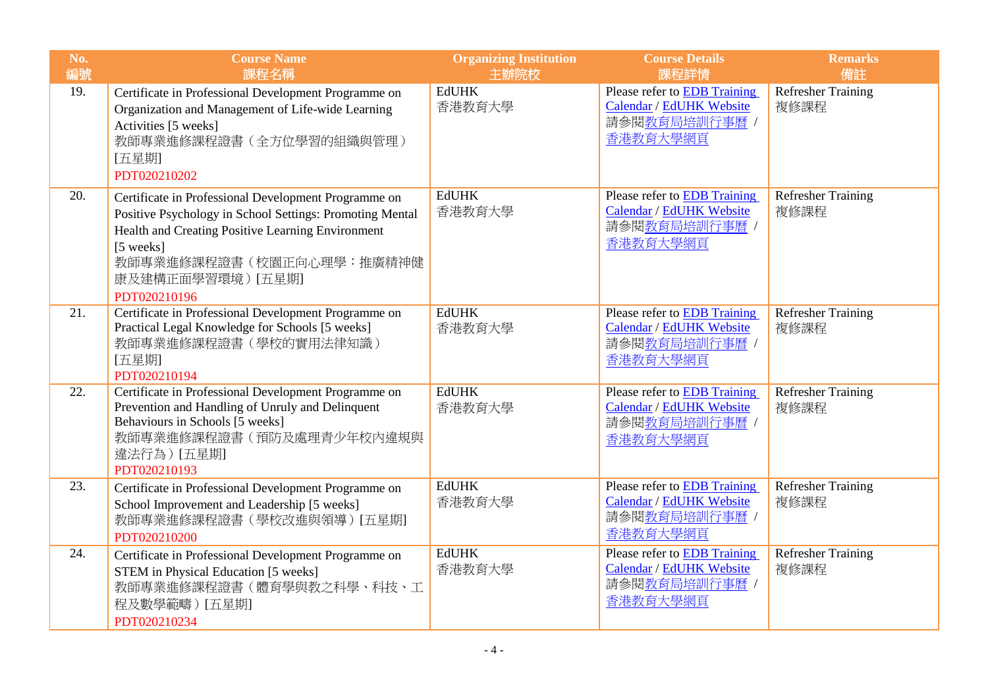| No.<br>編號 | <b>Course Name</b><br>課程名稱                                                                                                                                                                                                                          | <b>Organizing Institution</b><br>主辦院校 | <b>Course Details</b><br>課程詳情                                                                | <b>Remarks</b><br>備註              |
|-----------|-----------------------------------------------------------------------------------------------------------------------------------------------------------------------------------------------------------------------------------------------------|---------------------------------------|----------------------------------------------------------------------------------------------|-----------------------------------|
| 19.       | Certificate in Professional Development Programme on<br>Organization and Management of Life-wide Learning<br>Activities [5 weeks]<br>教師專業進修課程證書 (全方位學習的組織與管理)<br>[五星期]<br>PDT020210202                                                              | <b>EdUHK</b><br>香港教育大學                | Please refer to <b>EDB</b> Training<br>Calendar / EdUHK Website<br>請參閱教育局培訓行事曆 /<br>香港教育大學網頁 | <b>Refresher Training</b><br>複修課程 |
| 20.       | Certificate in Professional Development Programme on<br>Positive Psychology in School Settings: Promoting Mental<br>Health and Creating Positive Learning Environment<br>[5 weeks]<br>教師專業進修課程證書(校園正向心理學:推廣精神健<br>康及建構正面學習環境) [五星期]<br>PDT020210196 | <b>EdUHK</b><br>香港教育大學                | Please refer to <b>EDB</b> Training<br>Calendar / EdUHK Website<br>請參閱教育局培訓行事曆 /<br>香港教育大學網頁 | <b>Refresher Training</b><br>複修課程 |
| 21.       | Certificate in Professional Development Programme on<br>Practical Legal Knowledge for Schools [5 weeks]<br>教師專業進修課程證書 (學校的實用法律知識)<br>[五星期]<br>PDT020210194                                                                                          | <b>EdUHK</b><br>香港教育大學                | Please refer to EDB Training<br><b>Calendar / EdUHK Website</b><br>請參閱教育局培訓行事曆 /<br>香港教育大學網頁 | <b>Refresher Training</b><br>複修課程 |
| 22.       | Certificate in Professional Development Programme on<br>Prevention and Handling of Unruly and Delinquent<br>Behaviours in Schools [5 weeks]<br>教師專業進修課程證書(預防及處理青少年校內違規與<br>違法行為) [五星期]<br>PDT020210193                                              | <b>EdUHK</b><br>香港教育大學                | Please refer to EDB Training<br>Calendar / EdUHK Website<br>請參閱教育局培訓行事曆 /<br>香港教育大學網頁        | <b>Refresher Training</b><br>複修課程 |
| 23.       | Certificate in Professional Development Programme on<br>School Improvement and Leadership [5 weeks]<br>教師專業進修課程證書(學校改進與領導)[五星期]<br>PDT020210200                                                                                                     | <b>EdUHK</b><br>香港教育大學                | Please refer to EDB Training<br>Calendar / EdUHK Website<br>請參閱教育局培訓行事曆 /<br>香港教育大學網頁        | <b>Refresher Training</b><br>複修課程 |
| 24.       | Certificate in Professional Development Programme on<br>STEM in Physical Education [5 weeks]<br>教師專業進修課程證書(體育學與教之科學、科技、工<br>程及數學範疇) [五星期]<br>PDT020210234                                                                                           | <b>EdUHK</b><br>香港教育大學                | Please refer to EDB Training<br>Calendar / EdUHK Website<br>請參閱教育局培訓行事曆 /<br>香港教育大學網頁        | <b>Refresher Training</b><br>複修課程 |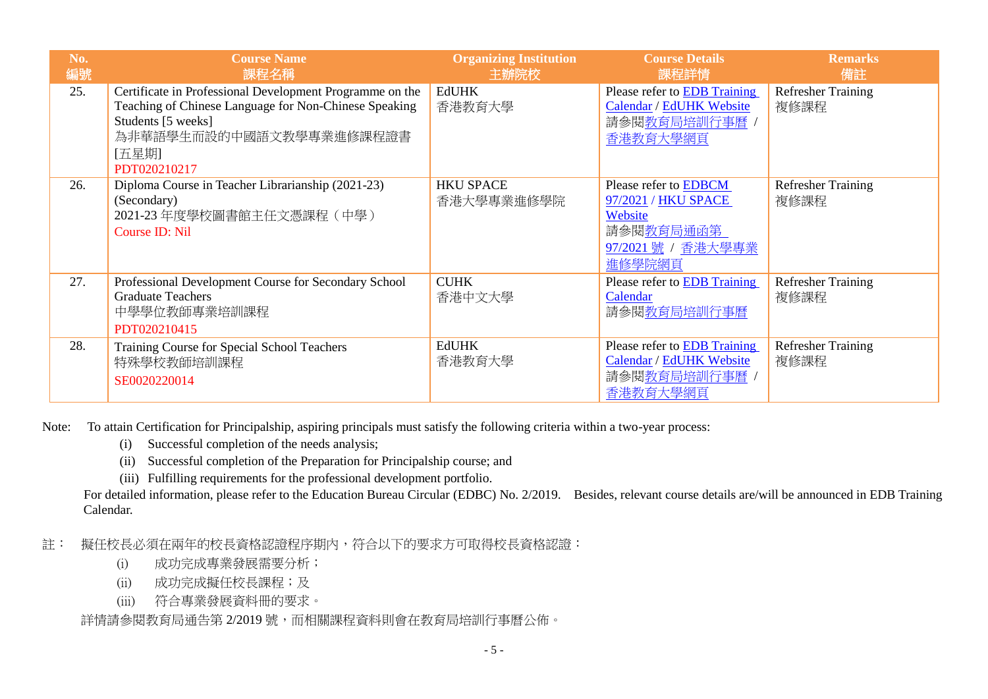| No.<br>編號 | <b>Course Name</b><br>課程名稱                                                                                                                                                                  | <b>Organizing Institution</b><br>生辦院校 | <b>Course Details</b><br>課程詳情                                                                                       | <b>Remarks</b><br>備註              |
|-----------|---------------------------------------------------------------------------------------------------------------------------------------------------------------------------------------------|---------------------------------------|---------------------------------------------------------------------------------------------------------------------|-----------------------------------|
| 25.       | Certificate in Professional Development Programme on the<br>Teaching of Chinese Language for Non-Chinese Speaking<br>Students [5 weeks]<br>為非華語學生而設的中國語文教學專業進修課程證書<br>[五星期]<br>PDT020210217 | <b>EdUHK</b><br>香港教育大學                | Please refer to EDB Training<br>Calendar / EdUHK Website<br>請參閱教育局培訓行事曆 /<br>香港教育大學網頁                               | <b>Refresher Training</b><br>複修課程 |
| 26.       | Diploma Course in Teacher Librarianship (2021-23)<br>(Secondary)<br>2021-23 年度學校圖書館主任文憑課程 (中學)<br>Course ID: Nil                                                                            | <b>HKU SPACE</b><br>香港大學專業進修學院        | Please refer to <b>EDBCM</b><br>97/2021 / HKU SPACE<br>Website<br>請參閱 <u>教育局通函第</u><br>97/2021 號 / 香港大學專業<br>進修學院網頁 | <b>Refresher Training</b><br>複修課程 |
| 27.       | Professional Development Course for Secondary School<br><b>Graduate Teachers</b><br>中學學位教師專業培訓課程<br>PDT020210415                                                                            | <b>CUHK</b><br>香港中文大學                 | Please refer to EDB Training<br>Calendar<br>請參閱教育局培訓行事曆                                                             | <b>Refresher Training</b><br>複修課程 |
| 28.       | Training Course for Special School Teachers<br>特殊學校教師培訓課程<br>SE0020220014                                                                                                                   | <b>EdUHK</b><br>香港教育大學                | Please refer to <b>EDB</b> Training<br>Calendar / EdUHK Website<br>請參閱 <u>教育局培訓行事曆</u><br>香港教育大學網頁                  | <b>Refresher Training</b><br>複修課程 |

Note: To attain Certification for Principalship, aspiring principals must satisfy the following criteria within a two-year process:

- (i) Successful completion of the needs analysis;
- (ii) Successful completion of the Preparation for Principalship course; and
- (iii) Fulfilling requirements for the professional development portfolio.

For detailed information, please refer to the Education Bureau Circular (EDBC) No. 2/2019. Besides, relevant course details are/will be announced in EDB Training Calendar.

註: 擬任校長必須在兩年的校長資格認證程序期內,符合以下的要求方可取得校長資格認證:

- (i) 成功完成專業發展需要分析;
- (ii) 成功完成擬任校長課程;及
- (iii) 符合專業發展資料冊的要求。

詳情請參閱教育局通告第 2/2019 號,而相關課程資料則會在教育局培訓行事曆公佈。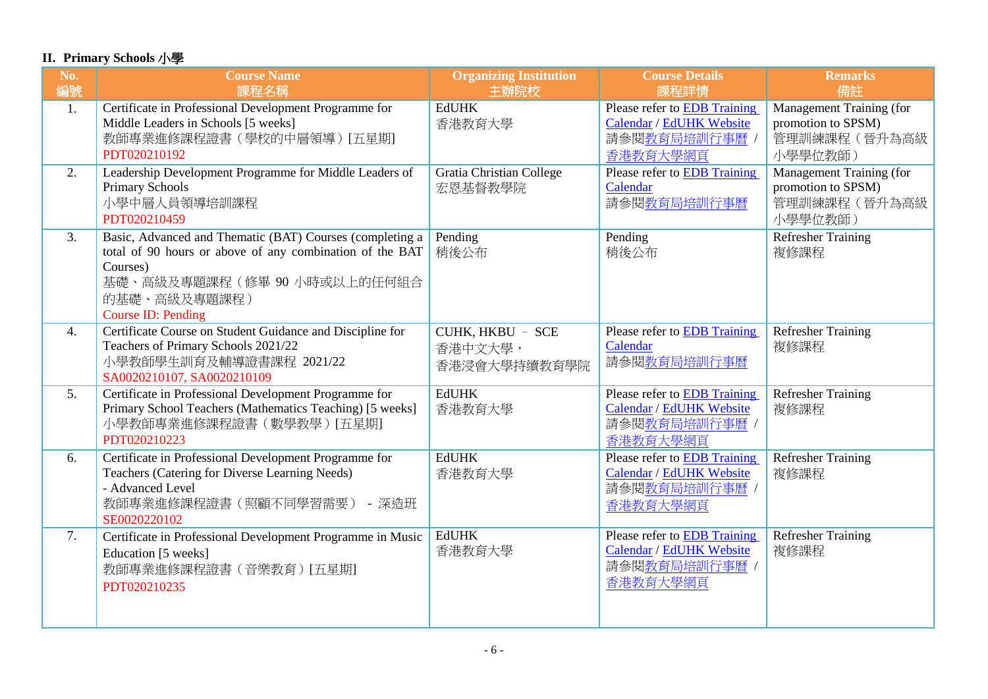## **II. Primary Schools** 小學

| No.<br>編號        | <b>Course Name</b><br>課程名稱                                                                                                                                                                          | <b>Organizing Institution</b><br>主辦院校       | <b>Course Details</b><br>課程詳情                                                               | <b>Remarks</b><br>備註                                                      |
|------------------|-----------------------------------------------------------------------------------------------------------------------------------------------------------------------------------------------------|---------------------------------------------|---------------------------------------------------------------------------------------------|---------------------------------------------------------------------------|
| 1.               | Certificate in Professional Development Programme for<br>Middle Leaders in Schools [5 weeks]<br>教師專業進修課程證書(學校的中層領導)[五星期]<br>PDT020210192                                                            | <b>EdUHK</b><br>香港教育大學                      | Please refer to <b>EDB</b> Training<br>Calendar / EdUHK Website<br>請參閱教育局培訓行事曆,<br>香港教育大學網頁 | Management Training (for<br>promotion to SPSM)<br>管理訓練課程(晉升為高級<br>小學學位教師) |
| 2.               | Leadership Development Programme for Middle Leaders of<br>Primary Schools<br>小學中層人員領導培訓課程<br>PDT020210459                                                                                           | <b>Gratia Christian College</b><br>宏恩基督教學院  | Please refer to EDB Training<br>Calendar<br>請參閱教育局培訓行事曆                                     | Management Training (for<br>promotion to SPSM)<br>管理訓練課程(晉升為高級<br>小學學位教師) |
| 3.               | Basic, Advanced and Thematic (BAT) Courses (completing a<br>total of 90 hours or above of any combination of the BAT<br>Courses)<br>基礎、高級及專題課程(修畢90小時或以上的任何組合<br>的基礎、高級及專題課程)<br>Course ID: Pending | Pending<br>稍後公布                             | Pending<br>稍後公布                                                                             | <b>Refresher Training</b><br>複修課程                                         |
| $\overline{4}$ . | Certificate Course on Student Guidance and Discipline for<br>Teachers of Primary Schools 2021/22<br>小學教師學生訓育及輔導證書課程 2021/22<br>SA0020210107, SA0020210109                                           | CUHK, HKBU - SCE<br>香港中文大學,<br>香港浸會大學持續教育學院 | Please refer to <b>EDB</b> Training<br>Calendar<br>請參閱教育局培訓行事曆                              | <b>Refresher Training</b><br>複修課程                                         |
| 5.               | Certificate in Professional Development Programme for<br>Primary School Teachers (Mathematics Teaching) [5 weeks]<br>小學教師專業進修課程證書(數學教學) [五星期]<br>PDT020210223                                       | <b>EdUHK</b><br>香港教育大學                      | Please refer to EDB Training<br>Calendar / EdUHK Website<br>請參閱教育局培訓行事曆 /<br>香港教育大學網頁       | <b>Refresher Training</b><br>複修課程                                         |
| 6.               | Certificate in Professional Development Programme for<br>Teachers (Catering for Diverse Learning Needs)<br>- Advanced Level<br>教師專業進修課程證書(照顧不同學習需要) - 深造班<br>SE0020220102                           | <b>EdUHK</b><br>香港教育大學                      | Please refer to EDB Training<br>Calendar / EdUHK Website<br>請參閱教育局培訓行事曆 /<br>香港教育大學網頁       | <b>Refresher Training</b><br>複修課程                                         |
| $\overline{7}$ . | Certificate in Professional Development Programme in Music<br>Education [5 weeks]<br>教師專業進修課程證書(音樂教育)[五星期]<br>PDT020210235                                                                          | <b>EdUHK</b><br>香港教育大學                      | Please refer to EDB Training<br>Calendar / EdUHK Website<br>請參閱教育局培訓行事曆 /<br>香港教育大學網頁       | <b>Refresher Training</b><br>複修課程                                         |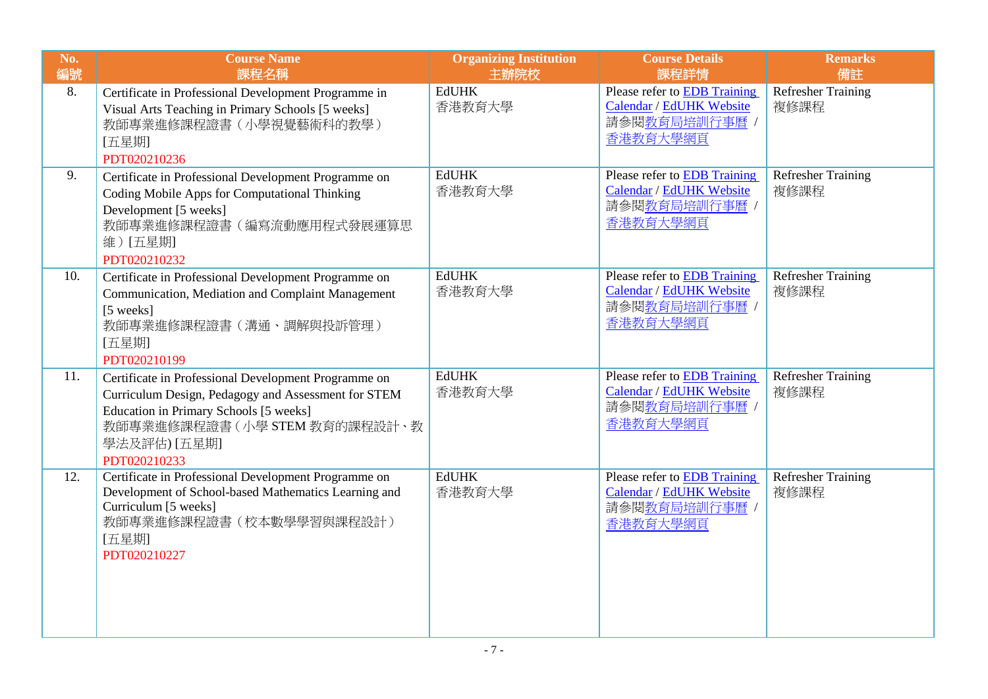| No.<br>編號 | <b>Course Name</b><br>課程名稱                                                                                                                                                                                            | <b>Organizing Institution</b><br>主辦院校 | <b>Course Details</b><br>課程詳情                                                                | <b>Remarks</b><br>備註              |
|-----------|-----------------------------------------------------------------------------------------------------------------------------------------------------------------------------------------------------------------------|---------------------------------------|----------------------------------------------------------------------------------------------|-----------------------------------|
| 8.        | Certificate in Professional Development Programme in<br>Visual Arts Teaching in Primary Schools [5 weeks]<br>教師專業進修課程證書 (小學視覺藝術科的教學)<br>[五星期]<br>PDT020210236                                                         | <b>EdUHK</b><br>香港教育大學                | Please refer to <b>EDB</b> Training<br>Calendar / EdUHK Website<br>請參閱教育局培訓行事曆 /<br>香港教育大學網頁 | Refresher Training<br>複修課程        |
| 9.        | Certificate in Professional Development Programme on<br>Coding Mobile Apps for Computational Thinking<br>Development [5 weeks]<br>教師專業進修課程證書(編寫流動應用程式發展運算思<br>維) [五星期]<br>PDT020210232                                | <b>EdUHK</b><br>香港教育大學                | Please refer to EDB Training<br>Calendar / EdUHK Website<br>請參閱教育局培訓行事曆 /<br>香港教育大學網頁        | <b>Refresher Training</b><br>複修課程 |
| 10.       | Certificate in Professional Development Programme on<br>Communication, Mediation and Complaint Management<br>[5 weeks]<br>教師專業進修課程證書(溝通、調解與投訴管理)<br>[五星期]<br>PDT020210199                                             | <b>EdUHK</b><br>香港教育大學                | Please refer to <b>EDB</b> Training<br>Calendar / EdUHK Website<br>請參閱教育局培訓行事曆 /<br>香港教育大學網頁 | <b>Refresher Training</b><br>複修課程 |
| 11.       | Certificate in Professional Development Programme on<br>Curriculum Design, Pedagogy and Assessment for STEM<br>Education in Primary Schools [5 weeks]<br>教師專業進修課程證書(小學 STEM 教育的課程設計、教<br>學法及評估) [五星期]<br>PDT020210233 | <b>EdUHK</b><br>香港教育大學                | Please refer to EDB Training<br>Calendar / EdUHK Website<br>請參閱教育局培訓行事曆 /<br>香港教育大學網頁        | Refresher Training<br>複修課程        |
| 12.       | Certificate in Professional Development Programme on<br>Development of School-based Mathematics Learning and<br>Curriculum [5 weeks]<br>教師專業進修課程證書 (校本數學學習與課程設計)<br>[五星期]<br>PDT020210227                             | <b>EdUHK</b><br>香港教育大學                | Please refer to <b>EDB</b> Training<br>Calendar / EdUHK Website<br>請參閱教育局培訓行事曆 /<br>香港教育大學網頁 | <b>Refresher Training</b><br>複修課程 |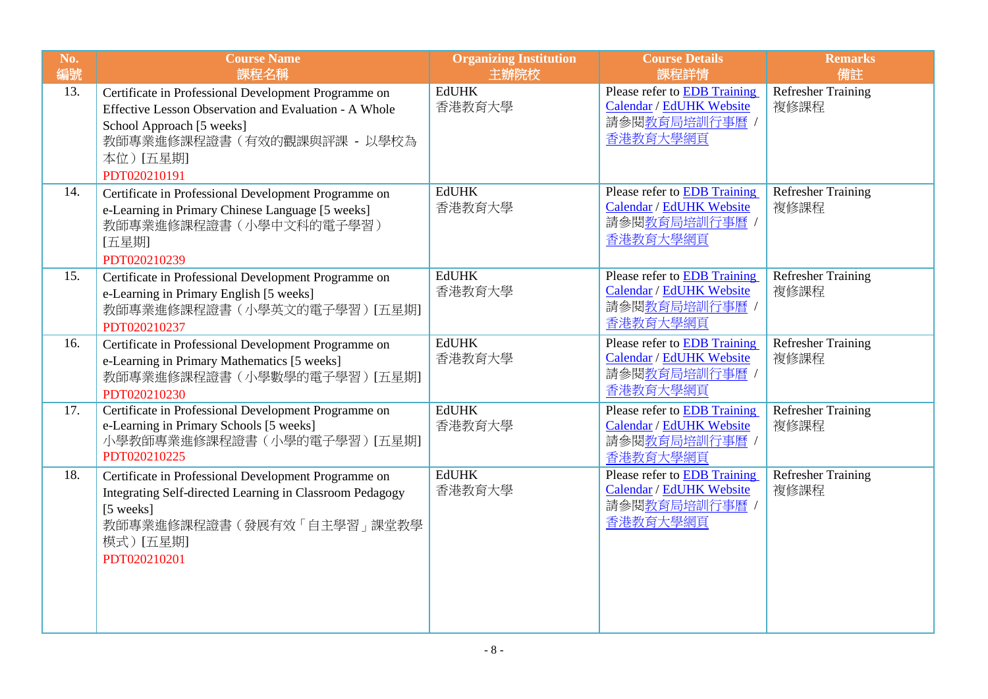| No.<br>編號 | <b>Course Name</b><br>課程名稱                                                                                                                                                                            | <b>Organizing Institution</b><br>主辦院校 | <b>Course Details</b><br>課程詳情                                                                | <b>Remarks</b><br>備註              |
|-----------|-------------------------------------------------------------------------------------------------------------------------------------------------------------------------------------------------------|---------------------------------------|----------------------------------------------------------------------------------------------|-----------------------------------|
| 13.       | Certificate in Professional Development Programme on<br>Effective Lesson Observation and Evaluation - A Whole<br>School Approach [5 weeks]<br>教師專業進修課程證書 (有效的觀課與評課 - 以學校為<br>本位)[五星期]<br>PDT020210191 | <b>EdUHK</b><br>香港教育大學                | Please refer to EDB Training<br>Calendar / EdUHK Website<br>請參閱教育局培訓行事曆 /<br>香港教育大學網頁        | <b>Refresher Training</b><br>複修課程 |
| 14.       | Certificate in Professional Development Programme on<br>e-Learning in Primary Chinese Language [5 weeks]<br>教師專業進修課程證書 (小學中文科的電子學習)<br>[五星期]<br>PDT020210239                                          | <b>EdUHK</b><br>香港教育大學                | Please refer to <b>EDB</b> Training<br>Calendar / EdUHK Website<br>請參閱教育局培訓行事曆 /<br>香港教育大學網頁 | <b>Refresher Training</b><br>複修課程 |
| 15.       | Certificate in Professional Development Programme on<br>e-Learning in Primary English [5 weeks]<br>教師專業進修課程證書(小學英文的電子學習)[五星期]<br>PDT020210237                                                         | <b>EdUHK</b><br>香港教育大學                | Please refer to <b>EDB</b> Training<br>Calendar / EdUHK Website<br>請參閱教育局培訓行事曆 /<br>香港教育大學網頁 | <b>Refresher Training</b><br>複修課程 |
| 16.       | Certificate in Professional Development Programme on<br>e-Learning in Primary Mathematics [5 weeks]<br>教師專業進修課程證書(小學數學的電子學習)[五星期]<br>PDT020210230                                                     | <b>EdUHK</b><br>香港教育大學                | Please refer to EDB Training<br>Calendar / EdUHK Website<br>請參閱教育局培訓行事曆 /<br>香港教育大學網頁        | <b>Refresher Training</b><br>複修課程 |
| 17.       | Certificate in Professional Development Programme on<br>e-Learning in Primary Schools [5 weeks]<br>小學教師專業進修課程證書 (小學的電子學習) [五星期]<br>PDT020210225                                                       | <b>EdUHK</b><br>香港教育大學                | Please refer to <b>EDB</b> Training<br>Calendar / EdUHK Website<br>請參閱教育局培訓行事曆 /<br>香港教育大學網頁 | Refresher Training<br>複修課程        |
| 18.       | Certificate in Professional Development Programme on<br>Integrating Self-directed Learning in Classroom Pedagogy<br>[5 weeks]<br>教師專業進修課程證書(發展有效「自主學習」課堂教學<br>模式) [五星期]<br>PDT020210201               | <b>EdUHK</b><br>香港教育大學                | Please refer to EDB Training<br>Calendar / EdUHK Website<br>請參閱教育局培訓行事曆 /<br>香港教育大學網頁        | Refresher Training<br>複修課程        |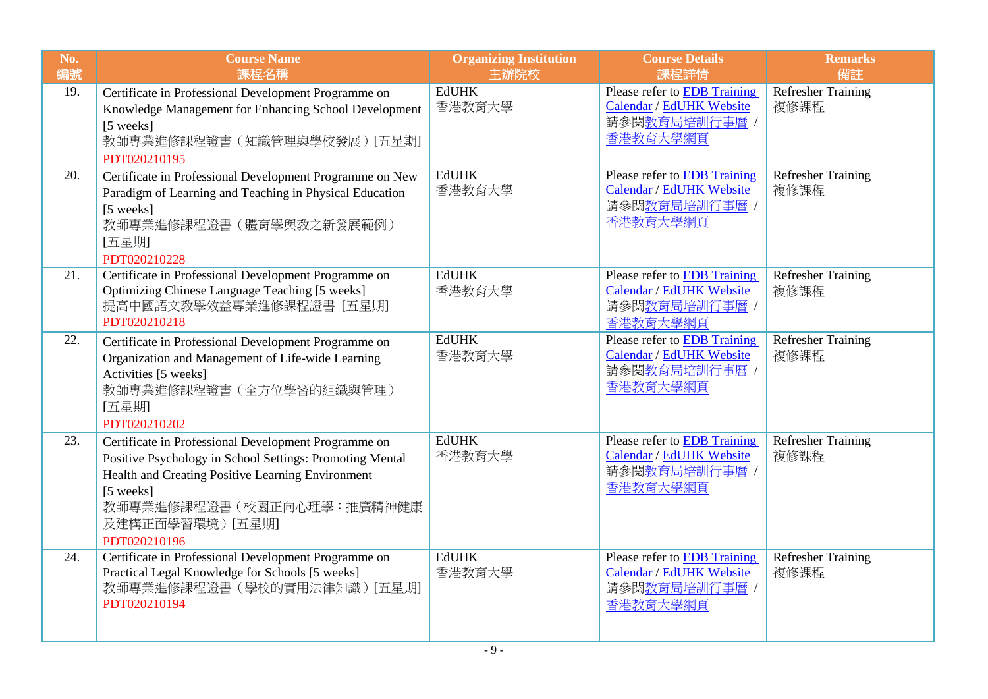| No.<br>編號 | <b>Course Name</b><br>課程名稱                                                                                                                                                                                                                         | <b>Organizing Institution</b><br>主辦院校 | <b>Course Details</b><br>課程詳情                                                                | <b>Remarks</b><br>備註              |
|-----------|----------------------------------------------------------------------------------------------------------------------------------------------------------------------------------------------------------------------------------------------------|---------------------------------------|----------------------------------------------------------------------------------------------|-----------------------------------|
| 19.       | Certificate in Professional Development Programme on<br>Knowledge Management for Enhancing School Development<br>[5 weeks]<br>教師專業進修課程證書(知識管理與學校發展) [五星期]<br>PDT020210195                                                                          | <b>EdUHK</b><br>香港教育大學                | Please refer to EDB Training<br>Calendar / EdUHK Website<br>請參閱教育局培訓行事曆 /<br>香港教育大學網頁        | <b>Refresher Training</b><br>複修課程 |
| 20.       | Certificate in Professional Development Programme on New<br>Paradigm of Learning and Teaching in Physical Education<br>[5 weeks]<br>教師專業進修課程證書(體育學與教之新發展範例)<br>[五星期]<br>PDT020210228                                                               | <b>EdUHK</b><br>香港教育大學                | Please refer to <b>EDB</b> Training<br>Calendar / EdUHK Website<br>請參閱教育局培訓行事曆 /<br>香港教育大學網頁 | <b>Refresher Training</b><br>複修課程 |
| 21.       | Certificate in Professional Development Programme on<br>Optimizing Chinese Language Teaching [5 weeks]<br>提高中國語文教學效益專業進修課程證書 [五星期]<br>PDT020210218                                                                                                 | <b>EdUHK</b><br>香港教育大學                | Please refer to EDB Training<br>Calendar / EdUHK Website<br>請參閱教育局培訓行事曆 /<br>香港教育大學網頁        | <b>Refresher Training</b><br>複修課程 |
| 22.       | Certificate in Professional Development Programme on<br>Organization and Management of Life-wide Learning<br>Activities [5 weeks]<br>教師專業進修課程證書 (全方位學習的組織與管理)<br>[五星期]<br>PDT020210202                                                             | <b>EdUHK</b><br>香港教育大學                | Please refer to <b>EDB</b> Training<br>Calendar / EdUHK Website<br>請參閱教育局培訓行事曆 /<br>香港教育大學網頁 | <b>Refresher Training</b><br>複修課程 |
| 23.       | Certificate in Professional Development Programme on<br>Positive Psychology in School Settings: Promoting Mental<br>Health and Creating Positive Learning Environment<br>[5 weeks]<br>教師專業進修課程證書(校園正向心理學:推廣精神健康<br>及建構正面學習環境)[五星期]<br>PDT020210196 | <b>EdUHK</b><br>香港教育大學                | Please refer to EDB Training<br>Calendar / EdUHK Website<br>請參閱教育局培訓行事曆 /<br>香港教育大學網頁        | <b>Refresher Training</b><br>複修課程 |
| 24.       | Certificate in Professional Development Programme on<br>Practical Legal Knowledge for Schools [5 weeks]<br>教師專業進修課程證書(學校的實用法律知識)「五星期]<br>PDT020210194                                                                                              | <b>EdUHK</b><br>香港教育大學                | Please refer to <b>EDB</b> Training<br>Calendar / EdUHK Website<br>請參閱教育局培訓行事曆 /<br>香港教育大學網頁 | <b>Refresher Training</b><br>複修課程 |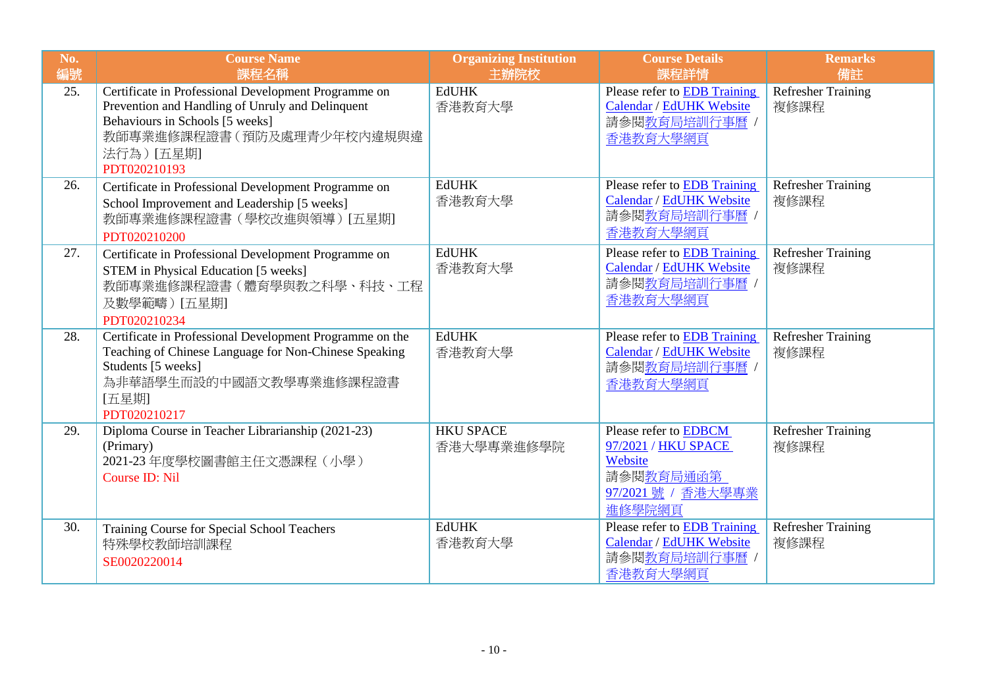| No.<br>編號 | <b>Course Name</b><br>課程名稱                                                                                                                                                                             | <b>Organizing Institution</b><br>主辦院校 | <b>Course Details</b><br>課程詳情                                                                              | <b>Remarks</b><br>備註              |
|-----------|--------------------------------------------------------------------------------------------------------------------------------------------------------------------------------------------------------|---------------------------------------|------------------------------------------------------------------------------------------------------------|-----------------------------------|
| 25.       | Certificate in Professional Development Programme on<br>Prevention and Handling of Unruly and Delinquent<br>Behaviours in Schools [5 weeks]<br>教師專業進修課程證書(預防及處理青少年校內違規與違<br>法行為) [五星期]<br>PDT020210193 | <b>EdUHK</b><br>香港教育大學                | Please refer to EDB Training<br>Calendar / EdUHK Website<br>請參閱教育局培訓行事曆 /<br>香港教育大學網頁                      | <b>Refresher Training</b><br>複修課程 |
| 26.       | Certificate in Professional Development Programme on<br>School Improvement and Leadership [5 weeks]<br>教師專業進修課程證書(學校改進與領導)[五星期]<br>PDT020210200                                                        | <b>EdUHK</b><br>香港教育大學                | Please refer to EDB Training<br>Calendar / EdUHK Website<br>請參閱教育局培訓行事曆<br>香港教育大學網頁                        | <b>Refresher Training</b><br>複修課程 |
| 27.       | Certificate in Professional Development Programme on<br>STEM in Physical Education [5 weeks]<br>教師專業進修課程證書(體育學與教之科學、科技、工程<br>及數學範疇)[五星期]<br>PDT020210234                                               | <b>EdUHK</b><br>香港教育大學                | Please refer to EDB Training<br>Calendar / EdUHK Website<br>請參閱教育局培訓行事曆 /<br>香港教育大學網頁                      | <b>Refresher Training</b><br>複修課程 |
| 28.       | Certificate in Professional Development Programme on the<br>Teaching of Chinese Language for Non-Chinese Speaking<br>Students [5 weeks]<br>為非華語學生而設的中國語文教學專業進修課程證書<br>[五星期]<br>PDT020210217            | <b>EdUHK</b><br>香港教育大學                | Please refer to EDB Training<br>Calendar / EdUHK Website<br>請參閱教育局培訓行事曆 /<br>香港教育大學網頁                      | <b>Refresher Training</b><br>複修課程 |
| 29.       | Diploma Course in Teacher Librarianship (2021-23)<br>(Primary)<br>2021-23 年度學校圖書館主任文憑課程(小學)<br>Course ID: Nil                                                                                          | <b>HKU SPACE</b><br>香港大學專業進修學院        | Please refer to <b>EDBCM</b><br>97/2021 / HKU SPACE<br>Website<br>請參閱教育局通函第<br>97/2021號 / 香港大學專業<br>進修學院網頁 | <b>Refresher Training</b><br>複修課程 |
| 30.       | Training Course for Special School Teachers<br>特殊學校教師培訓課程<br>SE0020220014                                                                                                                              | <b>EdUHK</b><br>香港教育大學                | Please refer to <b>EDB</b> Training<br>Calendar / EdUHK Website<br>請參閱教育局培訓行事曆<br>香港教育大學網頁                 | <b>Refresher Training</b><br>複修課程 |